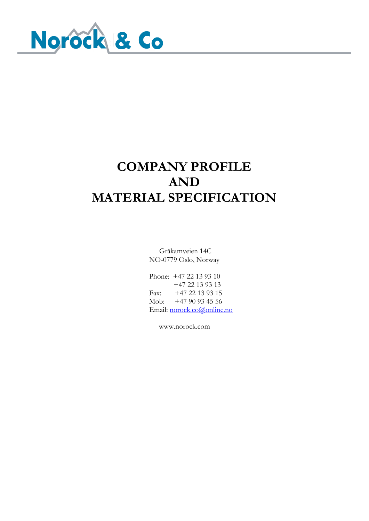

### **COMPANY PROFILE AND MATERIAL SPECIFICATION**

Gråkamveien 14C NO-0779 Oslo, Norway

Phone: +47 22 13 93 10 +47 22 13 93 13 Fax: +47 22 13 93 15 Mob: +47 90 93 45 56 Email: [norock.co@online.no](mailto:norock.co@online.no)

www.norock.com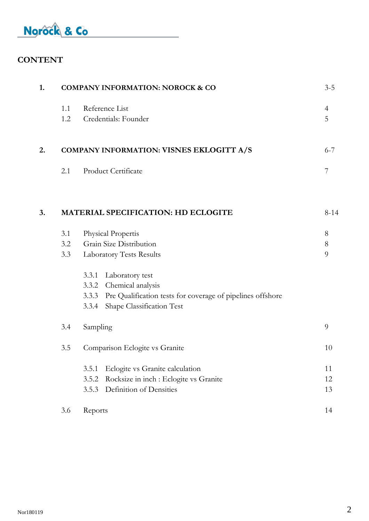### **CONTENT**

| 1. |     | <b>COMPANY INFORMATION: NOROCK &amp; CO</b>                      | $3 - 5$        |
|----|-----|------------------------------------------------------------------|----------------|
|    | 1.1 | Reference List                                                   | $\overline{4}$ |
|    | 1.2 | Credentials: Founder                                             | 5              |
| 2. |     | COMPANY INFORMATION: VISNES EKLOGITT A/S                         | $6 - 7$        |
|    | 2.1 | Product Certificate                                              | 7              |
| 3. |     | <b>MATERIAL SPECIFICATION: HD ECLOGITE</b>                       | $8 - 14$       |
|    | 3.1 | Physical Propertis                                               | 8              |
|    | 3.2 | Grain Size Distribution                                          | $8\,$          |
|    | 3.3 | Laboratory Tests Results                                         | 9              |
|    |     | Laboratory test<br>3.3.1                                         |                |
|    |     | 3.3.2 Chemical analysis                                          |                |
|    |     | 3.3.3 Pre Qualification tests for coverage of pipelines offshore |                |
|    |     | Shape Classification Test<br>3.3.4                               |                |
|    | 3.4 | Sampling                                                         | 9              |
|    | 3.5 | Comparison Eclogite vs Granite                                   | 10             |
|    |     | Eclogite vs Granite calculation<br>3.5.1                         | 11             |
|    |     | Rocksize in inch : Eclogite vs Granite<br>3.5.2                  | 12             |
|    |     | Definition of Densities<br>3.5.3                                 | 13             |
|    | 3.6 | Reports                                                          | 14             |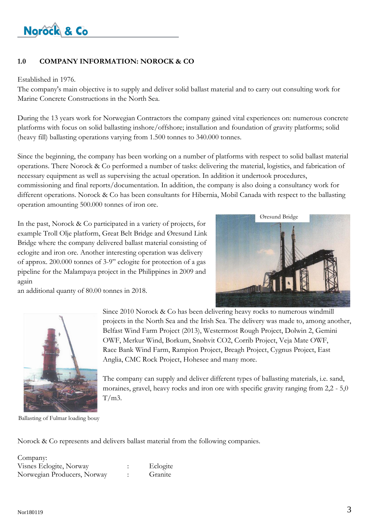

#### **1.0 COMPANY INFORMATION: NOROCK & CO**

#### Established in 1976.

The company's main objective is to supply and deliver solid ballast material and to carry out consulting work for Marine Concrete Constructions in the North Sea.

During the 13 years work for Norwegian Contractors the company gained vital experiences on: numerous concrete platforms with focus on solid ballasting inshore/offshore; installation and foundation of gravity platforms; solid (heavy fill) ballasting operations varying from 1.500 tonnes to 340.000 tonnes.

Since the beginning, the company has been working on a number of platforms with respect to solid ballast material operations. There Norock & Co performed a number of tasks: delivering the material, logistics, and fabrication of necessary equipment as well as supervising the actual operation. In addition it undertook procedures, commissioning and final reports/documentation. In addition, the company is also doing a consultancy work for different operations. Norock & Co has been consultants for Hibernia, Mobil Canada with respect to the ballasting operation amounting 500.000 tonnes of iron ore.

In the past, Norock & Co participated in a variety of projects, for example Troll Olje platform, Great Belt Bridge and Øresund Link Bridge where the company delivered ballast material consisting of eclogite and iron ore. Another interesting operation was delivery of approx. 200.000 tonnes of 3-9" eclogite for protection of a gas pipeline for the Malampaya project in the Philippines in 2009 and again



an additional quanty of 80.00 tonnes in 2018.



Ballasting of Fulmar loading bouy

Since 2010 Norock & Co has been delivering heavy rocks to numerous windmill projects in the North Sea and the Irish Sea. The delivery was made to, among another, Belfast Wind Farm Project (2013), Westermost Rough Project, Dolwin 2, Gemini OWF, Merkur Wind, Borkum, Snøhvit CO2, Corrib Project, Veja Mate OWF, Race Bank Wind Farm, Rampion Project, Breagh Project, Cygnus Project, East Anglia, CMC Rock Project, Hohesee and many more.

The company can supply and deliver different types of ballasting materials, i.e. sand, moraines, gravel, heavy rocks and iron ore with specific gravity ranging from 2,2 - 5,0  $T/m3$ .

Norock & Co represents and delivers ballast material from the following companies.

| Company:                    |          |
|-----------------------------|----------|
| Visnes Eclogite, Norway     | Eclogite |
| Norwegian Producers, Norway | Granite  |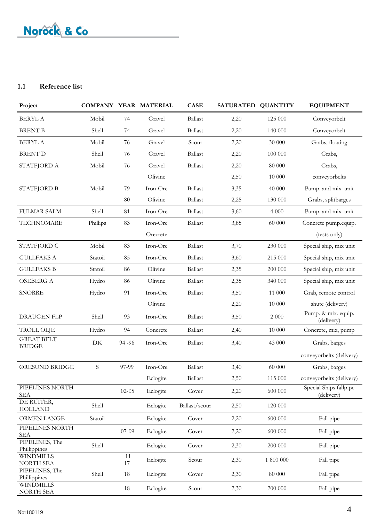#### **1.1 Reference list**

| Project                            |          |                  | COMPANY YEAR MATERIAL | <b>CASE</b>    | SATURATED QUANTITY |           | <b>EQUIPMENT</b>                     |
|------------------------------------|----------|------------------|-----------------------|----------------|--------------------|-----------|--------------------------------------|
| <b>BERYL A</b>                     | Mobil    | 74               | Gravel                | <b>Ballast</b> | 2,20               | 125 000   | Conveyorbelt                         |
| <b>BRENT B</b>                     | Shell    | 74               | Gravel                | <b>Ballast</b> | 2,20               | 140 000   | Conveyorbelt                         |
| <b>BERYL A</b>                     | Mobil    | 76               | Gravel                | Scour          | 2,20               | 30 000    | Grabs, floating                      |
| <b>BRENT D</b>                     | Shell    | 76               | Gravel                | <b>Ballast</b> | 2,20               | 100 000   | Grabs,                               |
| STATFJORD A                        | Mobil    | 76               | Gravel                | Ballast        | 2,20               | 80 000    | Grabs,                               |
|                                    |          |                  | Olivine               |                | 2,50               | 10 000    | conveyorbelts                        |
| <b>STATFJORD B</b>                 | Mobil    | 79               | Iron-Ore              | <b>Ballast</b> | 3,35               | 40 000    | Pump. and mix. unit                  |
|                                    |          | 80               | Olivine               | <b>Ballast</b> | 2,25               | 130 000   | Grabs, splitbarges                   |
| <b>FULMAR SALM</b>                 | Shell    | 81               | Iron-Ore              | <b>Ballast</b> | 3,60               | 4 0 0 0   | Pump. and mix. unit                  |
| <b>TECHNOMARE</b>                  | Phillips | 83               | Iron-Ore              | <b>Ballast</b> | 3,85               | 60 000    | Concrete pump.equip.                 |
|                                    |          |                  | Orecrete              |                |                    |           | (tests only)                         |
| STATFJORD C                        | Mobil    | 83               | Iron-Ore              | <b>Ballast</b> | 3,70               | 230 000   | Special ship, mix unit               |
| <b>GULLFAKS A</b>                  | Statoil  | 85               | Iron-Ore              | <b>Ballast</b> | 3,60               | 215 000   | Special ship, mix unit               |
| <b>GULLFAKS B</b>                  | Statoil  | 86               | Olivine               | <b>Ballast</b> | 2,35               | 200 000   | Special ship, mix unit               |
| <b>OSEBERG A</b>                   | Hydro    | 86               | Olivine               | <b>Ballast</b> | 2,35               | 340 000   | Special ship, mix unit               |
| <b>SNORRE</b>                      | Hydro    | 91               | Iron-Ore              | <b>Ballast</b> | 3,50               | 11 000    | Grab, remote control                 |
|                                    |          |                  | Olivine               |                | 2,20               | 10 000    | shute (delivery)                     |
| <b>DRAUGEN FLP</b>                 | Shell    | 93               | Iron-Ore              | <b>Ballast</b> | 3,50               | $2\;000$  | Pump. & mix. equip.<br>(delivery)    |
| <b>TROLL OLJE</b>                  | Hydro    | 94               | Concrete              | <b>Ballast</b> | 2,40               | 10 000    | Concrete, mix, pump                  |
| <b>GREAT BELT</b><br><b>BRIDGE</b> | DK       | 94 - 96          | Iron-Ore              | <b>Ballast</b> | 3,40               | 43 000    | Grabs, barges                        |
|                                    |          |                  |                       |                |                    |           | conveyorbelts (delivery)             |
| ØRESUND BRIDGE                     | S        | 97-99            | Iron-Ore              | <b>Ballast</b> | 3,40               | 60 000    | Grabs, barges                        |
|                                    |          |                  | Eclogite              | <b>Ballast</b> | 2,50               | 115 000   | conveyorbelts (delivery)             |
| PIPELINES NORTH<br><b>SEA</b>      |          | $02 - 05$        | Eclogite              | Cover          | 2,20               | 600 000   | Special Ships fallpipe<br>(delivery) |
| DE RUITER,<br><b>HOLLAND</b>       | Shell    |                  | Eclogite              | Ballast/scour  | 2,50               | 120 000   |                                      |
| ORMEN LANGE                        | Statoil  |                  | Eclogite              | Cover          | 2,20               | 600 000   | Fall pipe                            |
| PIPELINES NORTH<br><b>SEA</b>      |          | $07 - 09$        | Eclogite              | Cover          | 2,20               | 600 000   | Fall pipe                            |
| PIPELINES, The<br>Phillippines     | Shell    |                  | Eclogite              | Cover          | 2,30               | 200 000   | Fall pipe                            |
| <b>WINDMILLS</b><br>NORTH SEA      |          | $11 -$<br>$17\,$ | Eclogite              | Scour          | 2,30               | 1 800 000 | Fall pipe                            |
| PIPELINES, The<br>Phillippines     | Shell    | 18               | Eclogite              | Cover          | 2,30               | 80 000    | Fall pipe                            |
| <b>WINDMILLS</b><br>NORTH SEA      |          | 18               | Eclogite              | Scour          | 2,30               | 200 000   | Fall pipe                            |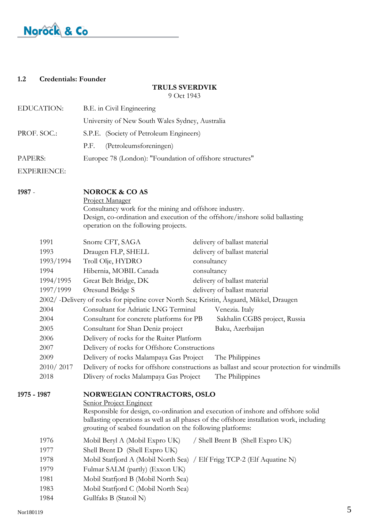#### **1.2 Credentials: Founder**

### **TRULS SVERDVIK**

9 Oct 1943

| <b>EDUCATION:</b>  | B.E. in Civil Engineering                                |
|--------------------|----------------------------------------------------------|
|                    | University of New South Wales Sydney, Australia          |
| PROF. SOC.:        | S.P.E. (Society of Petroleum Engineers)                  |
|                    | (Petroleumsforeningen)<br>P.F.                           |
| PAPERS:            | Europec 78 (London): "Foundation of offshore structures" |
| <b>EXPERIENCE:</b> |                                                          |

**1987** - **NOROCK & CO AS**

Project Manager

Consultancy work for the mining and offshore industry. Design, co-ordination and execution of the offshore/inshore solid ballasting operation on the following projects.

|             | 1991      | Snorre CFT, SAGA                                                                         | delivery of ballast material                                                                                                                                                  |   |
|-------------|-----------|------------------------------------------------------------------------------------------|-------------------------------------------------------------------------------------------------------------------------------------------------------------------------------|---|
|             | 1993      | Draugen FLP, SHELL                                                                       | delivery of ballast material                                                                                                                                                  |   |
|             | 1993/1994 | Troll Olje, HYDRO                                                                        | consultancy                                                                                                                                                                   |   |
|             | 1994      | Hibernia, MOBIL Canada                                                                   | consultancy                                                                                                                                                                   |   |
|             | 1994/1995 | Great Belt Bridge, DK                                                                    | delivery of ballast material                                                                                                                                                  |   |
|             | 1997/1999 | Øresund Bridge S                                                                         | delivery of ballast material                                                                                                                                                  |   |
|             |           | 2002/ -Delivery of rocks for pipeline cover North Sea; Kristin, Åsgaard, Mikkel, Draugen |                                                                                                                                                                               |   |
|             | 2004      | Consultant for Adriatic LNG Terminal                                                     | Venezia. Italy                                                                                                                                                                |   |
|             | 2004      | Consultant for concrete platforms for PB                                                 | Sakhalin CGBS project, Russia                                                                                                                                                 |   |
|             | 2005      | Consultant for Shan Deniz project                                                        | Baku, Azerbaijan                                                                                                                                                              |   |
|             | 2006      | Delivery of rocks for the Ruiter Platform                                                |                                                                                                                                                                               |   |
|             | 2007      | Delivery of rocks for Offshore Constructions                                             |                                                                                                                                                                               |   |
|             | 2009      | Delivery of rocks Malampaya Gas Project                                                  | The Philippines                                                                                                                                                               |   |
|             | 2010/2017 |                                                                                          | Delivery of rocks for offshore constructions as ballast and scour protection for windmills                                                                                    |   |
|             | 2018      | Dlivery of rocks Malampaya Gas Project                                                   | The Philippines                                                                                                                                                               |   |
| 1975 - 1987 |           | <b>NORWEGIAN CONTRACTORS, OSLO</b><br>Senior Project Engineer                            |                                                                                                                                                                               |   |
|             |           | grouting of seabed foundation on the following platforms:                                | Responsible for design, co-ordination and execution of inshore and offshore solid<br>ballasting operations as well as all phases of the offshore installation work, including |   |
|             | 1976      | Mobil Beryl A (Mobil Expro UK)                                                           | / Shell Brent B (Shell Expro UK)                                                                                                                                              |   |
|             | 1977      | Shell Brent D (Shell Expro UK)                                                           |                                                                                                                                                                               |   |
|             | 1978      | Mobil Statfjord A (Mobil North Sea) / Elf Frigg TCP-2 (Elf Aquatine N)                   |                                                                                                                                                                               |   |
|             | 1979      | Fulmar SALM (partly) (Exxon UK)                                                          |                                                                                                                                                                               |   |
|             | 1981      | Mobil Statfjord B (Mobil North Sea)                                                      |                                                                                                                                                                               |   |
|             | 1983      | Mobil Statfjord C (Mobil North Sea)                                                      |                                                                                                                                                                               |   |
|             | 1984      | Gullfaks B (Statoil N)                                                                   |                                                                                                                                                                               |   |
| Nor180119   |           |                                                                                          |                                                                                                                                                                               | 5 |
|             |           |                                                                                          |                                                                                                                                                                               |   |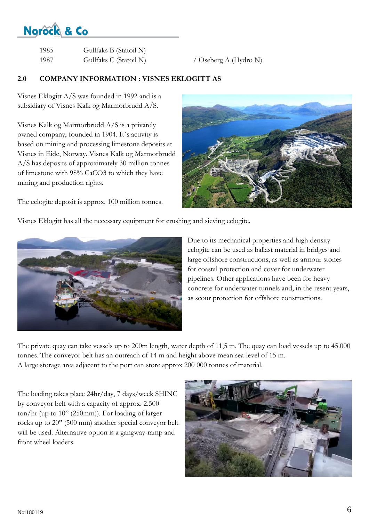| 1985 | Gullfaks B (Statoil N) |
|------|------------------------|
| 1987 | Gullfaks C (Statoil N) |

 $/$  Oseberg A (Hydro N)

### **2.0 COMPANY INFORMATION : VISNES EKLOGITT AS**

Visnes Eklogitt A/S was founded in 1992 and is a subsidiary of Visnes Kalk og Marmorbrudd A/S.

Visnes Kalk og Marmorbrudd A/S is a privately owned company, founded in 1904. It`s activity is based on mining and processing limestone deposits at Visnes in Eide, Norway. Visnes Kalk og Marmorbrudd A/S has deposits of approximately 30 million tonnes of limestone with 98% CaCO3 to which they have mining and production rights.

The eclogite deposit is approx. 100 million tonnes.



Visnes Eklogitt has all the necessary equipment for crushing and sieving eclogite.



Due to its mechanical properties and high density eclogite can be used as ballast material in bridges and large offshore constructions, as well as armour stones for coastal protection and cover for underwater pipelines. Other applications have been for heavy concrete for underwater tunnels and, in the resent years, as scour protection for offshore constructions.

The private quay can take vessels up to 200m length, water depth of 11,5 m. The quay can load vessels up to 45.000 tonnes. The conveyor belt has an outreach of 14 m and height above mean sea-level of 15 m. A large storage area adjacent to the port can store approx 200 000 tonnes of material.

The loading takes place 24hr/day, 7 days/week SHINC by conveyor belt with a capacity of approx. 2.500 ton/hr (up to 10" (250mm)). For loading of larger rocks up to 20" (500 mm) another special conveyor belt will be used. Alternative option is a gangway-ramp and front wheel loaders.

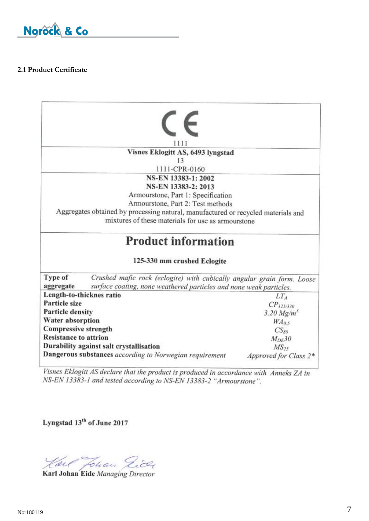

#### **2.1 Product Certificate**

|                                             | 1111                                                                              |                          |  |  |
|---------------------------------------------|-----------------------------------------------------------------------------------|--------------------------|--|--|
|                                             | Visnes Eklogitt AS, 6493 lyngstad                                                 |                          |  |  |
|                                             | 13                                                                                |                          |  |  |
|                                             | 1111-CPR-0160                                                                     |                          |  |  |
|                                             | NS-EN 13383-1: 2002                                                               |                          |  |  |
|                                             | NS-EN 13383-2: 2013                                                               |                          |  |  |
|                                             | Armourstone, Part 1: Specification                                                |                          |  |  |
|                                             | Armourstone, Part 2: Test methods                                                 |                          |  |  |
|                                             | Aggregates obtained by processing natural, manufactured or recycled materials and |                          |  |  |
|                                             | mixtures of these materials for use as armourstone                                |                          |  |  |
|                                             | <b>Product information</b>                                                        |                          |  |  |
|                                             | 125-330 mm crushed Eclogite                                                       |                          |  |  |
| Type of                                     | Crushed mafic rock (eclogite) with cubically angular grain form. Loose            |                          |  |  |
| aggregate                                   | surface coating, none weathered particles and none weak particles.                |                          |  |  |
|                                             | Length-to-thicknes ratio                                                          | LT <sub>A</sub>          |  |  |
| Particle size                               |                                                                                   | $CP_{125/330}$           |  |  |
| <b>Particle density</b>                     |                                                                                   | $3.20$ Mg/m <sup>3</sup> |  |  |
| <b>Water absorption</b><br>WA <sub>05</sub> |                                                                                   |                          |  |  |
| <b>Compressive strength</b>                 |                                                                                   | $CS_{80}$                |  |  |
| <b>Resistance to attrion</b>                |                                                                                   | $M_{DE}$ 30              |  |  |
|                                             | Durability against salt crystallisation                                           | MS <sub>25</sub>         |  |  |
|                                             | Dangerous substances according to Norwegian requirement                           | Approved for Class 2*    |  |  |
|                                             |                                                                                   |                          |  |  |

Visnes Eklogitt AS declare that the product is produced in accordance with Anneks ZA in NS-EN 13383-1 and tested according to NS-EN 13383-2 "Armourstone".

Lyngstad 13<sup>th</sup> of June 2017

Harl Johan Gice

Karl Johan Eide Managing Director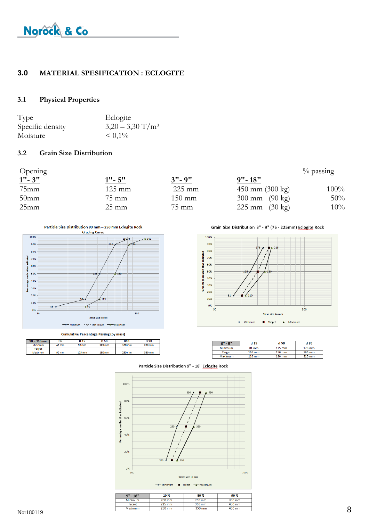#### **3.0 MATERIAL SPESIFICATION : ECLOGITE**

#### **3.1 Physical Properties**

| Type             | Eclogite                       |
|------------------|--------------------------------|
| Specific density | $3,20 - 3,30$ T/m <sup>3</sup> |
| Moisture         | $\leq 0.1\%$                   |

#### **3.2 Grain Size Distribution**

| Opening   |                  |                  |                             | $\%$ passing |
|-----------|------------------|------------------|-----------------------------|--------------|
| $1" - 3"$ | $1" - 5"$        | $3" - 9"$        | $9" - 18"$                  |              |
| $75$ mm   | $125 \text{ mm}$ | $225 \text{ mm}$ | $450$ mm $(300 \text{ kg})$ | $100\%$      |
| $50$ mm   | 75 mm            | $150 \text{ mm}$ | 300 mm $(90 \text{ kg})$    | 50%          |
| 25mm      | $25 \text{ mm}$  | $75 \text{ mm}$  | 225 mm $(30 \text{ kg})$    | $10\%$       |

Particle Size Distribution 90 mm - 250 mm Eclogite Rock



**Cumulative Percentage Passing (by mass)** 

| $90 - 250$ mm | D5    | D <sub>15</sub> | D 50   | D90    | D 98   |
|---------------|-------|-----------------|--------|--------|--------|
| Minimum       | 45 mm | 90 mm           | 125 mm | 180 mm | 250 mm |
| <b>Target</b> |       |                 |        |        |        |
| Maximum       | 90 mm | 125 mm          | 180 mm | 250 mm | 360 mm |

Grain Size Distribution 3" - 9" (75 - 225mm) Eclogite Rock



| $3" - 9"$     | d 15             | d 50     | d 85             |
|---------------|------------------|----------|------------------|
| Minimum       | $81$ mm          | $125$ mm | $173 \text{ mm}$ |
| <b>Target</b> | $100$ mm         | 150 mm   | 200 mm           |
| Maximum       | $110 \text{ mm}$ | 180 mm   | 215 mm           |



Particle Size Distribution 9" - 18" Eclogite Rock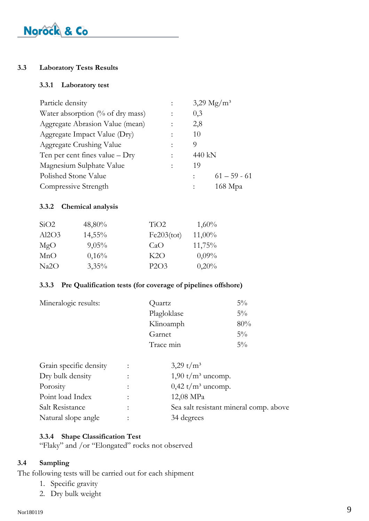#### **3.3 Laboratory Tests Results**

#### **3.3.1 Laboratory test**

| Particle density                    | $3,29 \text{ Mg/m}^3$ |
|-------------------------------------|-----------------------|
| Water absorption $(\%$ of dry mass) | 0,3                   |
| Aggregate Abrasion Value (mean)     | 2,8                   |
| Aggregate Impact Value (Dry)        | 10                    |
| Aggregate Crushing Value            | 9                     |
| Ten per cent fines value $-$ Dry    | 440 kN                |
| Magnesium Sulphate Value            | 19                    |
| Polished Stone Value                | $61 - 59 - 61$        |
| Compressive Strength                | 168 Мра               |

#### **3.3.2 Chemical analysis**

| SiO2  | 48,80%    | TiO2       | $1,60\%$  |
|-------|-----------|------------|-----------|
| Al2O3 | $14,55\%$ | Fe203(tot) | $11,00\%$ |
| MgO   | 9,05%     | CaO        | 11,75%    |
| MnO   | 0,16%     | K2O        | $0,09\%$  |
| Na2O  | $3,35\%$  | P2O3       | 0,20%     |

#### **3.3.3 Pre Qualification tests (for coverage of pipelines offshore)**

| Mineralogic results: | Quartz      | $5\%$ |
|----------------------|-------------|-------|
|                      | Plagloklase | $5\%$ |
|                      | Klinoamph   | 80%   |
|                      | Garnet      | $5\%$ |
|                      | Trace min   | $5\%$ |
|                      |             |       |

| $\ddot{\cdot}$       | 3,29 t/ $m^3$                              |
|----------------------|--------------------------------------------|
|                      | $1,90 \frac{\text{t}}{\text{m}^3}$ uncomp. |
| $\ddot{ }$ .         | $0,42 \frac{\text{t}}{\text{m}^3}$ uncomp. |
| ٠                    | 12,08 MPa                                  |
| $\ddot{\phantom{a}}$ | Sea salt resistant mineral comp. above     |
|                      | 34 degrees                                 |
|                      |                                            |

#### **3.3.4 Shape Classification Test**

"Flaky" and /or "Elongated" rocks not observed

#### **3.4 Sampling**

The following tests will be carried out for each shipment

- 1. Specific gravity
- 2. Dry bulk weight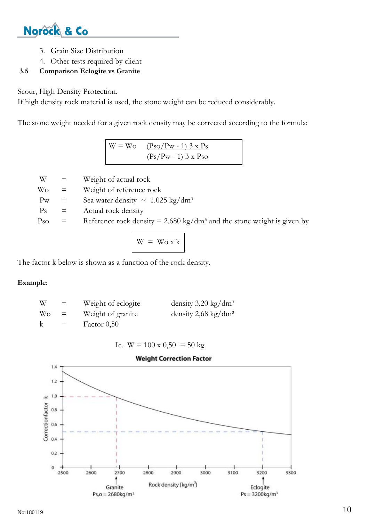

- 3. Grain Size Distribution
- 4. Other tests required by client

#### **3.5 Comparison Eclogite vs Granite**

Scour, High Density Protection.

If high density rock material is used, the stone weight can be reduced considerably.

The stone weight needed for a given rock density may be corrected according to the formula:

 $W = Wo \t (Pso/Pw - 1) 3 x Ps$  $(Ps/Pw - 1)$  3 x Pso

 $W =$  Weight of actual rock

 $W<sub>O</sub>$  = Weight of reference rock

Pw = Sea water density  $\sim 1.025 \text{ kg/dm}^3$ 

 $Ps =$  Actual rock density

Pso  $=$  Reference rock density  $= 2.680 \text{ kg/dm}^3$  and the stone weight is given by

$$
W = W_0 x k
$$

The factor k below is shown as a function of the rock density.

#### **Example:**

| W            | $=$ | Weight of eclogite | density $3,20 \text{ kg/dm}^3$  |
|--------------|-----|--------------------|---------------------------------|
| Wo           | $=$ | Weight of granite  | density 2,68 kg/dm <sup>3</sup> |
| $\mathsf{k}$ | $=$ | Factor $0,50$      |                                 |

Ie.  $W = 100 \times 0,50 = 50$  kg.

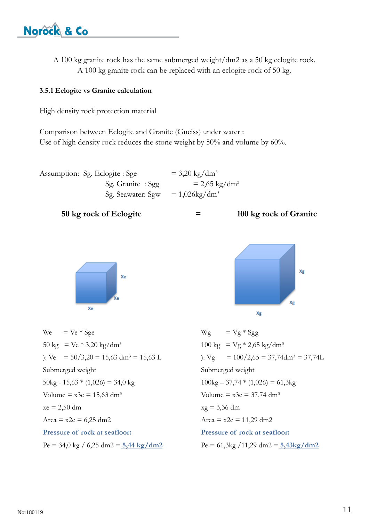A 100 kg granite rock has the same submerged weight/dm2 as a 50 kg eclogite rock. A 100 kg granite rock can be replaced with an eclogite rock of 50 kg.

#### **3.5.1 Eclogite vs Granite calculation**

High density rock protection material

Comparison between Eclogite and Granite (Gneiss) under water : Use of high density rock reduces the stone weight by 50% and volume by 60%.

| Assumption: Sg. Eclogite: Sge | $= 3,20 \text{ kg/dm}^3$ |
|-------------------------------|--------------------------|
| Sg. Granite : Sgg             | $= 2,65 \text{ kg/dm}^3$ |
| Sg. Seawater: Sgw             | $= 1,026\text{kg/dm}^3$  |





We  $=$  Ve  $*$  Sge 50 kg =  $Ve * 3,20$  kg/dm<sup>3</sup> ): Ve =  $50/3,20 = 15,63$  dm<sup>3</sup> =  $15,63$  L Submerged weight  $50\text{kg} - 15,63 * (1,026) = 34,0 \text{ kg}$ Volume =  $x3e = 15,63$  dm<sup>3</sup>  $xe = 2,50$  dm Area =  $x2e = 6,25$  dm2 **Pressure of rock at seafloor:** Pe = 34,0 kg / 6,25 dm2 = **5,44 kg/dm2**



 $Wg = Vg * Sgg$  $100 \text{ kg} = \text{Vg} * 2,65 \text{ kg/dm}^3$ ):  $Vg = 100/2,65 = 37,74$ dm<sup>3</sup> = 37,74L Submerged weight  $100\text{kg} - 37,74 * (1,026) = 61,3\text{kg}$ Volume =  $x3e = 37,74$  dm<sup>3</sup>  $xg = 3,36$  dm Area =  $x2e$  = 11,29 dm2 **Pressure of rock at seafloor:** Pe = 61,3kg /11,29 dm2 = **5,43kg/dm2**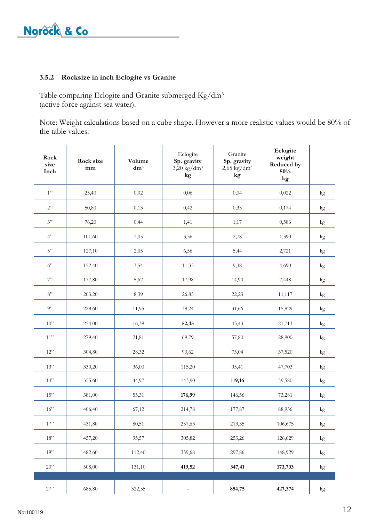#### **3.5.2 Rocksize in inch Eclogite vs Granite**

Table comparing Eclogite and Granite submerged Kg/dm<sup>3</sup> (active force against sea water).

Note: Weight calculations based on a cube shape. However a more realistic values would be 80% of the table values.

| Rock<br>size<br>Inch | Rock size<br>mm | Volume<br>$\mathrm{d}\mathrm{m}^3$ | Eclogite<br>Sp. gravity<br>$3,20$ kg/dm <sup>3</sup><br>kg | Granite<br>Sp. gravity<br>$2,65$ kg/dm <sup>3</sup><br>kg | Eclogite<br>weight<br>Reduced by<br>50%<br>kg |               |
|----------------------|-----------------|------------------------------------|------------------------------------------------------------|-----------------------------------------------------------|-----------------------------------------------|---------------|
| 1"                   | 25,40           | 0,02                               | 0,06                                                       | 0,04                                                      | 0,022                                         | kg            |
| 2"                   | 50,80           | 0,13                               | 0,42                                                       | 0,35                                                      | 0,174                                         | kg            |
| 3"                   | 76,20           | 0,44                               | 1,41                                                       | 1,17                                                      | 0,586                                         | kg            |
| 4"                   | 101,60          | 1,05                               | 3,36                                                       | 2,78                                                      | 1,390                                         | $\mathrm{kg}$ |
| $5"$                 | 127,10          | 2,05                               | 6,56                                                       | 5,44                                                      | 2,721                                         | $\mathrm{kg}$ |
| 6"                   | 152,40          | 3,54                               | 11,33                                                      | 9,38                                                      | 4,690                                         | kg            |
| 7"                   | 177,80          | 5,62                               | 17,98                                                      | 14,90                                                     | 7,448                                         | kg            |
| $8"$                 | 203,20          | 8,39                               | 26,85                                                      | 22,23                                                     | 11,117                                        | kg            |
| 9"                   | 228,60          | 11,95                              | 38,24                                                      | 31,66                                                     | 15,829                                        | kg            |
| $10$ "               | 254,00          | 16,39                              | 52,45                                                      | 43,43                                                     | 21,713                                        | kg            |
| $11"$                | 279,40          | 21,81                              | 69,79                                                      | 57,80                                                     | 28,900                                        | kg            |
| 12"                  | 304,80          | 28,32                              | 90,62                                                      | 75,04                                                     | 37,520                                        | kg            |
| 13"                  | 330,20          | 36,00                              | 115,20                                                     | 95,41                                                     | 47,703                                        | kg            |
| 14"                  | 355,60          | 44,97                              | 143,90                                                     | 119,16                                                    | 59,580                                        | kg            |
| $15"$                | 381,00          | 55,31                              | 176,99                                                     | 146,56                                                    | 73,281                                        | kg            |
| $16"$                | 406,40          | 67,12                              | 214,78                                                     | 177,87                                                    | 88,936                                        | kg            |
| $17"$                | 431,80          | 80,51                              | 257,63                                                     | 213,35                                                    | 106,675                                       | $\mathrm{kg}$ |
| $18"$                | 457,20          | 95,57                              | 305,82                                                     | 253,26                                                    | 126,629                                       | $\mathrm{kg}$ |
| 19"                  | 482,60          | 112,40                             | 359,68                                                     | 297,86                                                    | 148,929                                       | $\mathrm{kg}$ |
| $20"$                | 508,00          | 131,10                             | 419,52                                                     | 347,41                                                    | 173,703                                       | $\mathrm{kg}$ |
|                      |                 |                                    |                                                            |                                                           |                                               |               |
| $27"$                | 685,80          | 322,55                             | $\blacksquare$                                             | 854,75                                                    | 427,374                                       | kg            |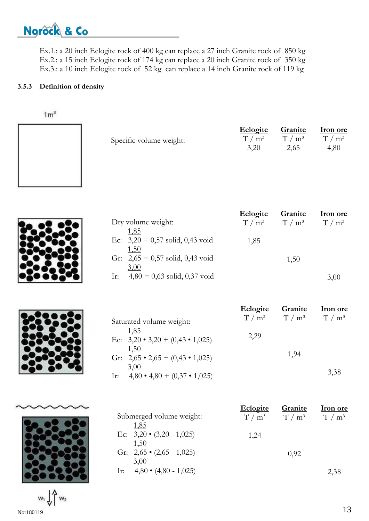Ex.1.: a 20 inch Eclogite rock of 400 kg can replace a 27 inch Granite rock of 850 kg Ex.2.: a 15 inch Eclogite rock of 174 kg can replace a 20 inch Granite rock of 350 kg Ex.3.: a 10 inch Eclogite rock of 52 kg can replace a 14 inch Granite rock of 119 kg

#### **3.5.3 Definition of density**

| 1m <sup>3</sup> |                                                           |                             |                            |                                    |
|-----------------|-----------------------------------------------------------|-----------------------------|----------------------------|------------------------------------|
|                 | Specific volume weight:                                   | Eclogite<br>$T/m^3$<br>3,20 | Granite<br>$T/m^3$<br>2,65 | <b>Iron ore</b><br>$T/m^3$<br>4,80 |
|                 |                                                           |                             |                            |                                    |
|                 | Dry volume weight:                                        | Eclogite<br>$T/m^3$         | Granite<br>$T/m^3$         | <b>Iron</b> ore<br>$T/m^3$         |
|                 | 1,85<br>Ec: $3,20 = 0,57$ solid, 0,43 void<br><u>1,50</u> | 1,85                        |                            |                                    |
|                 | Gr: $2,65 = 0,57$ solid, 0,43 void<br>3,00                |                             | 1,50                       |                                    |

Ir:  $4,80 = 0,63$  solid, 0,37 void





 $w_1 \downarrow w_2$  $Nor180119$   $13$ 

|                                                    | <u>Eclogite</u>    | Granite | <b>Iron</b> ore |
|----------------------------------------------------|--------------------|---------|-----------------|
| Saturated volume weight:                           | T / m <sup>3</sup> | $T/m^3$ | $T/m^3$         |
| 1,85<br>Ec: $3,20 \cdot 3,20 + (0,43 \cdot 1,025)$ | 2,29               |         |                 |
| <u>1,50</u>                                        |                    |         |                 |
| Gr: $2,65 \cdot 2,65 + (0,43 \cdot 1,025)$         |                    | 1,94    |                 |
| <u>3,00</u>                                        |                    |         |                 |
| $4,80 \cdot 4,80 + (0,37 \cdot 1,025)$<br>Ir:      |                    |         | 3,38            |

|                                 | <b>Eclogite</b> | Granite                 | <b>Iron</b> ore |
|---------------------------------|-----------------|-------------------------|-----------------|
| Submerged volume weight:        |                 | $T/m^3$ $T/m^3$ $T/m^3$ |                 |
| 1,85                            |                 |                         |                 |
| Ec: $3,20 \cdot (3,20 - 1,025)$ | 1,24            |                         |                 |
| 1,50                            |                 |                         |                 |
| Gr: $2,65 \cdot (2,65 - 1,025)$ |                 | 0.92                    |                 |
| 3,00                            |                 |                         |                 |
| Ir: $4,80 \cdot (4,80 - 1,025)$ |                 |                         | 2,38            |

3,00